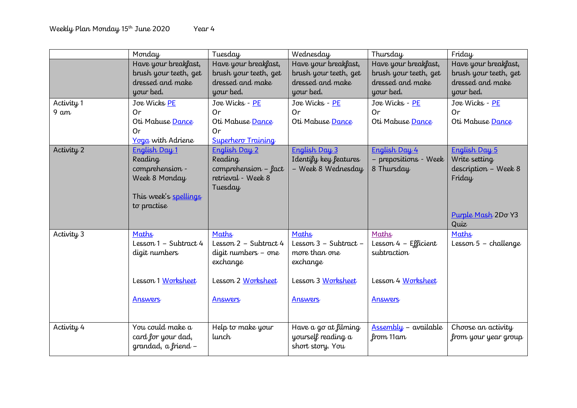|                | Monday                | Tuesday                                      | Wednesday               | Thursday              | Friday                 |
|----------------|-----------------------|----------------------------------------------|-------------------------|-----------------------|------------------------|
|                | Have your breakfast,  | Have your breakfast,                         | Have your breakfast,    | Have your breakfast,  | Have your breakfast,   |
|                | brush your teeth, get | brush your teeth, get                        | brush your teeth, get   | brush your teeth, get | brush your teeth, get  |
|                | dressed and make      | dressed and make                             | dressed and make        | dressed and make      | dressed and make       |
|                | your bed.             | your bed.                                    | your bed.               | your bed.             | your bed.              |
| Activity 1     | Joe Wicks PE          | Joe Wicks - PE                               | Joe Wicks - PE          | Joe Wicks - PE        | Joe Wicks - PE         |
| $9 \text{ am}$ | Or                    | Or                                           | Or                      | 0r                    | Or                     |
|                | Oti Mabuse Dance      | Oti Mabuse Dance                             | Oti Mabuse Dance        | Oti Mabuse Dance      | Oti Mabuse Dance       |
|                | <b>Or</b>             | Or                                           |                         |                       |                        |
|                | Yoga with Adriene     | <b>Superhero Training</b>                    |                         |                       |                        |
| Activity 2     | English Day 1         | English Day 2                                | English Day 3           | English Day 4         | English Day 5          |
|                | Reading               | Reading                                      | Identify key features   | - prepositions - Week | Write setting          |
|                | comprehension -       | $comprehension - fact$<br>retrieval - Week 8 | - Week 8 Wednesday      | 8 Thursday            | description - Week 8   |
|                | Week 8 Monday         | Tuesday                                      |                         |                       | Friday                 |
|                | This week's spellings |                                              |                         |                       |                        |
|                | to practise           |                                              |                         |                       |                        |
|                |                       |                                              |                         |                       | Purple Mash 2Do Y3     |
|                |                       |                                              |                         |                       | Quiz                   |
| Activity 3     | Maths                 | Maths                                        | Maths                   | Maths                 | Maths                  |
|                | Lesson 1 - Subtract 4 | Lesson $2$ – Subtract 4                      | Lesson $3$ – Subtract – | Lesson 4 – Efficient  | Lesson $5$ – challenge |
|                | digit numbers         | digit numbers - one                          | more than one           | subtraction           |                        |
|                |                       | exchange                                     | exchange                |                       |                        |
|                |                       |                                              |                         |                       |                        |
|                | Lesson 1 Worksheet    | Lesson 2 Worksheet                           | Lesson 3 Worksheet      | Lesson 4 Worksheet    |                        |
|                |                       |                                              |                         |                       |                        |
|                | Answers               | Answers                                      | Answers                 | Answers               |                        |
|                |                       |                                              |                         |                       |                        |
| Activity 4     | You could make a      | Help to make your                            | Have a go at filming    | Assembly - available  | Choose an activity     |
|                | card for your dad,    | lunch                                        | yourself reading a      | from 11am             | from your year group   |
|                | grandad, a friend -   |                                              | short story. You        |                       |                        |
|                |                       |                                              |                         |                       |                        |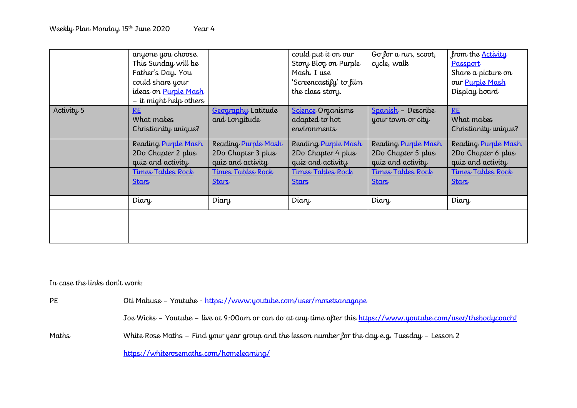|            | anyone you choose.<br>This Sunday will be<br>Father's Day. You<br>could share your<br>ideas on Purple Mash<br>– it might help others |                                                                | could put it on our<br>Story Blog on Purple<br>Mash. I use<br>'Screencastify' to film<br>the class story. | Go for a run, scoot,<br>cycle, walk                            | from the <u>Activity</u><br>Passport<br>Share a picture on<br>our Purple Mash<br>Display board |
|------------|--------------------------------------------------------------------------------------------------------------------------------------|----------------------------------------------------------------|-----------------------------------------------------------------------------------------------------------|----------------------------------------------------------------|------------------------------------------------------------------------------------------------|
| Activity 5 | RE<br>What makes<br>Christianity unique?                                                                                             | Geography Latitude<br>and Longitude                            | Science Organisms<br>adapted to hot<br>environments                                                       | Spanish - Describe<br>your town or city                        | RE<br>What makes<br>Christianity unique?                                                       |
|            | Reading Purple Mash<br>2Do Chapter 2 plus<br>quiz and activity                                                                       | Reading Purple Mash<br>2Do Chapter 3 plus<br>quiz and activity | Reading Purple Mash<br>2Do Chapter 4 plus<br>quiz and activity                                            | Reading Purple Mash<br>2Do Chapter 5 plus<br>quiz and activity | Reading Purple Mash<br>2Do Chapter 6 plus<br>quiz and activity                                 |
|            | <u>Times Tables Rock</u><br><b>Stars</b>                                                                                             | <u>Times Tables Rock</u><br><b>Stars</b>                       | <u>Times Tables Rock</u><br><b>Stars</b>                                                                  | <u>Times Tables Rock</u><br><b>Stars</b>                       | Times Tables Rock<br><b>Stars</b>                                                              |
|            | Diary                                                                                                                                | Diary                                                          | Diary                                                                                                     | Diary                                                          | Diary                                                                                          |
|            |                                                                                                                                      |                                                                |                                                                                                           |                                                                |                                                                                                |

In case the links don't work:

PE Oti Mabuse – Youtube - <https://www.youtube.com/user/mosetsanagape> Joe Wicks – Youtube – live at 9:00am or can do at any time after this<https://www.youtube.com/user/thebodycoach1> Maths White Rose Maths – Find your year group and the lesson number for the day e.g. Tuesday – Lesson 2 <https://whiterosemaths.com/homelearning/>